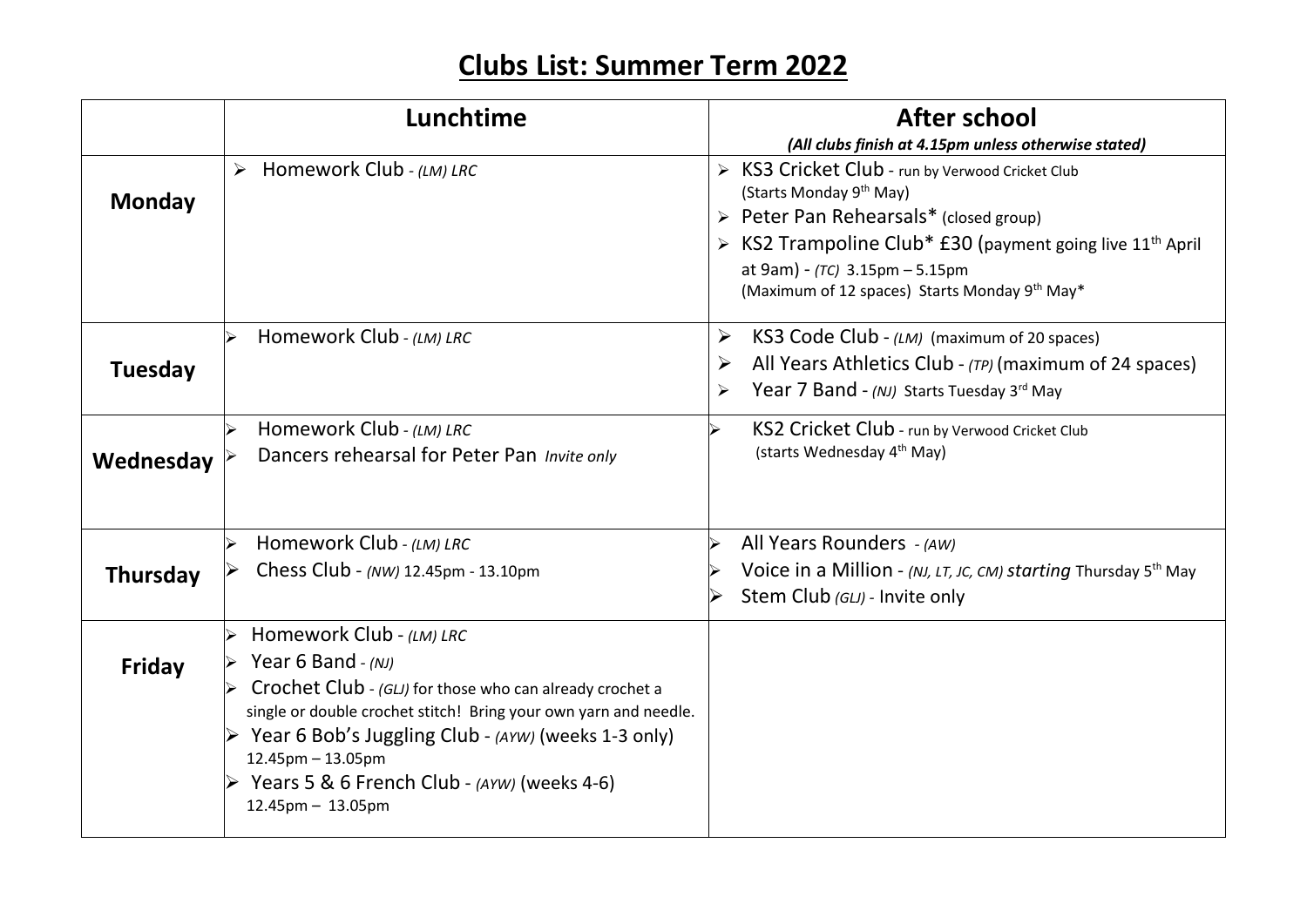## **Clubs List: Summer Term 2022**

|                 | Lunchtime                                                                                                                                                                                                                                                                                                                                                                                               | <b>After school</b>                                                                                                                                                                                                                                                                                            |
|-----------------|---------------------------------------------------------------------------------------------------------------------------------------------------------------------------------------------------------------------------------------------------------------------------------------------------------------------------------------------------------------------------------------------------------|----------------------------------------------------------------------------------------------------------------------------------------------------------------------------------------------------------------------------------------------------------------------------------------------------------------|
|                 |                                                                                                                                                                                                                                                                                                                                                                                                         | (All clubs finish at 4.15pm unless otherwise stated)                                                                                                                                                                                                                                                           |
| <b>Monday</b>   | $\triangleright$ Homework Club - (LM) LRC                                                                                                                                                                                                                                                                                                                                                               | > KS3 Cricket Club - run by Verwood Cricket Club<br>(Starts Monday 9 <sup>th</sup> May)<br>> Peter Pan Rehearsals* (closed group)<br>$\triangleright$ KS2 Trampoline Club* £30 (payment going live 11 <sup>th</sup> April<br>at 9am) - $(TC)$ 3.15pm - 5.15pm<br>(Maximum of 12 spaces) Starts Monday 9th May* |
| <b>Tuesday</b>  | Homework Club - (LM) LRC                                                                                                                                                                                                                                                                                                                                                                                | KS3 Code Club - (LM) (maximum of 20 spaces)<br>$\blacktriangleright$<br>All Years Athletics Club - (TP) (maximum of 24 spaces)<br>$\blacktriangleright$<br>Year 7 Band - (NJ) Starts Tuesday 3rd May<br>$\blacktriangleright$                                                                                  |
| Wednesday       | Homework Club - (LM) LRC<br>Dancers rehearsal for Peter Pan Invite only                                                                                                                                                                                                                                                                                                                                 | KS2 Cricket Club - run by Verwood Cricket Club<br>(starts Wednesday 4 <sup>th</sup> May)                                                                                                                                                                                                                       |
| <b>Thursday</b> | Homework Club - (LM) LRC<br>Chess Club - (NW) 12.45pm - 13.10pm                                                                                                                                                                                                                                                                                                                                         | All Years Rounders - (AW)<br>Voice in a Million - (NJ, LT, JC, CM) starting Thursday 5th May<br>Stem Club (GLJ) - Invite only                                                                                                                                                                                  |
| <b>Friday</b>   | Homework Club - (LM) LRC<br>$\blacktriangleright$<br>Year 6 Band $-(NJ)$<br>Crochet Club - $(GL)$ for those who can already crochet a<br>single or double crochet stitch! Bring your own yarn and needle.<br>$\triangleright$ Year 6 Bob's Juggling Club - (AYW) (weeks 1-3 only)<br>$12.45$ pm $- 13.05$ pm<br>$\triangleright$ Years 5 & 6 French Club - (AYW) (weeks 4-6)<br>$12.45$ pm $- 13.05$ pm |                                                                                                                                                                                                                                                                                                                |